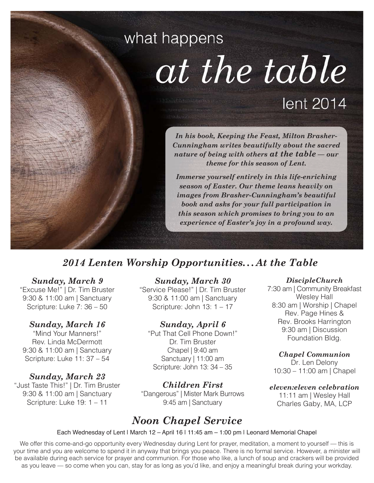# what happens at the table lent 2014

*In his book, Keeping the Feast, Milton Brasher-Cunningham writes beautifully about the sacred nature of being with others at the table — our theme for this season of Lent.* 

*Immerse yourself entirely in this life-enriching season of Easter. Our theme leans heavily on images from Brasher-Cunningham's beautiful book and asks for your full participation in this season which promises to bring you to an experience of Easter's joy in a profound way.*

## *2014 Lenten Worship Opportunities...At the Table*

#### *Sunday, March 9*

"Excuse Me!" | Dr. Tim Bruster 9:30 & 11:00 am | Sanctuary Scripture: Luke 7: 36 – 50

#### *Sunday, March 16*

"Mind Your Manners!" Rev. Linda McDermott 9:30 & 11:00 am | Sanctuary Scripture: Luke 11: 37 – 54

*Sunday, March 23* "Just Taste This!" | Dr. Tim Bruster 9:30 & 11:00 am | Sanctuary Scripture: Luke 19: 1 – 11

#### *Sunday, March 30*

"Service Please!" | Dr. Tim Bruster 9:30 & 11:00 am | Sanctuary Scripture: John 13: 1 – 17

#### *Sunday, April 6*

"Put That Cell Phone Down!" Dr. Tim Bruster Chapel | 9:40 am Sanctuary | 11:00 am Scripture: John 13: 34 – 35

*Children First* "Dangerous" | Mister Mark Burrows 9:45 am | Sanctuary

## *Noon Chapel Service*

#### *DiscipleChurch*

7:30 am | Community Breakfast Wesley Hall 8:30 am | Worship | Chapel Rev. Page Hines & Rev. Brooks Harrington 9:30 am | Discussion Foundation Bldg.

#### *Chapel Communion*

Dr. Len Delony 10:30 – 11:00 am | Chapel

#### *eleven:eleven celebration*

11:11 am | Wesley Hall Charles Gaby, MA, LCP

Each Wednesday of Lent | March 12 – April 16 | 11:45 am – 1:00 pm | Leonard Memorial Chapel

We offer this come-and-go opportunity every Wednesday during Lent for prayer, meditation, a moment to yourself — this is your time and you are welcome to spend it in anyway that brings you peace. There is no formal service. However, a minister will be available during each service for prayer and communion. For those who like, a lunch of soup and crackers will be provided as you leave — so come when you can, stay for as long as you'd like, and enjoy a meaningful break during your workday.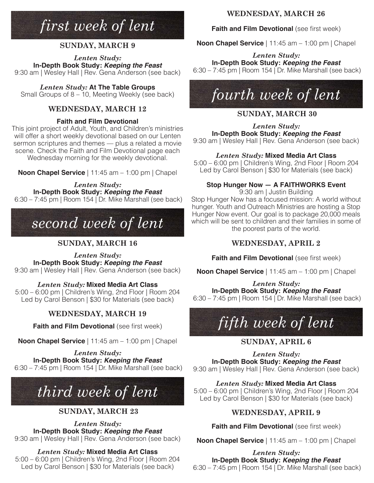## *first week of lent*

#### **SUNDAY, MARCH 9**

*Lenten Study:*  **In-Depth Book Study:** *Keeping the Feast* 9:30 am | Wesley Hall | Rev. Gena Anderson (see back)

*Lenten Study:* **At The Table Groups** Small Groups of 8 – 10, Meeting Weekly (see back)

#### **WEDNESDAY, MARCH 12**

#### **Faith and Film Devotional**

This joint project of Adult, Youth, and Children's ministries will offer a short weekly devotional based on our Lenten sermon scriptures and themes — plus a related a movie scene. Check the Faith and Film Devotional page each Wednesday morning for the weekly devotional.

**Noon Chapel Service** | 11:45 am – 1:00 pm | Chapel

*Lenten Study:*  **In-Depth Book Study:** *Keeping the Feast* 6:30 – 7:45 pm | Room 154 | Dr. Mike Marshall (see back)

## *second week of lent*

### **SUNDAY, MARCH 16**

*Lenten Study:* 

**In-Depth Book Study:** *Keeping the Feast* 9:30 am | Wesley Hall | Rev. Gena Anderson (see back)

*Lenten Study:* **Mixed Media Art Class**

5:00 – 6:00 pm | Children's Wing, 2nd Floor | Room 204 Led by Carol Benson | \$30 for Materials (see back)

## **WEDNESDAY, MARCH 19**

**Faith and Film Devotional** (see first week)

**Noon Chapel Service** | 11:45 am – 1:00 pm | Chapel

*Lenten Study:*  **In-Depth Book Study:** *Keeping the Feast* 6:30 – 7:45 pm | Room 154 | Dr. Mike Marshall (see back)

## *third week of lent*

## **SUNDAY, MARCH 23**

*Lenten Study:*  **In-Depth Book Study:** *Keeping the Feast* 9:30 am | Wesley Hall | Rev. Gena Anderson (see back)

## *Lenten Study:* **Mixed Media Art Class**

5:00 – 6:00 pm | Children's Wing, 2nd Floor | Room 204 Led by Carol Benson | \$30 for Materials (see back)

## **WEDNESDAY, MARCH 26**

## **Faith and Film Devotional (see first week)**

**Noon Chapel Service** | 11:45 am – 1:00 pm | Chapel

*Lenten Study:*  **In-Depth Book Study:** *Keeping the Feast* 6:30 – 7:45 pm | Room 154 | Dr. Mike Marshall (see back)



## **SUNDAY, MARCH 30**

*Lenten Study:*  **In-Depth Book Study:** *Keeping the Feast* 9:30 am | Wesley Hall | Rev. Gena Anderson (see back)

*Lenten Study:* **Mixed Media Art Class**

5:00 – 6:00 pm | Children's Wing, 2nd Floor | Room 204 Led by Carol Benson | \$30 for Materials (see back)

## **Stop Hunger Now — A FAITHWORKS Event**

9:30 am | Justin Building Stop Hunger Now has a focused mission: A world without hunger. Youth and Outreach Ministries are hosting a Stop Hunger Now event. Our goal is to package 20,000 meals which will be sent to children and their families in some of the poorest parts of the world.

## **WEDNESDAY, APRIL 2**

**Faith and Film Devotional (see first week)** 

**Noon Chapel Service** | 11:45 am – 1:00 pm | Chapel

*Lenten Study:*  **In-Depth Book Study:** *Keeping the Feast*

6:30 – 7:45 pm | Room 154 | Dr. Mike Marshall (see back)



## **SUNDAY, APRIL 6**

*Lenten Study:*  **In-Depth Book Study:** *Keeping the Feast* 9:30 am | Wesley Hall | Rev. Gena Anderson (see back)

*Lenten Study:* **Mixed Media Art Class**

5:00 – 6:00 pm | Children's Wing, 2nd Floor | Room 204 Led by Carol Benson | \$30 for Materials (see back)

## **WEDNESDAY, APRIL 9**

**Faith and Film Devotional (see first week)** 

**Noon Chapel Service** | 11:45 am – 1:00 pm | Chapel

*Lenten Study:* 

**In-Depth Book Study:** *Keeping the Feast* 6:30 – 7:45 pm | Room 154 | Dr. Mike Marshall (see back)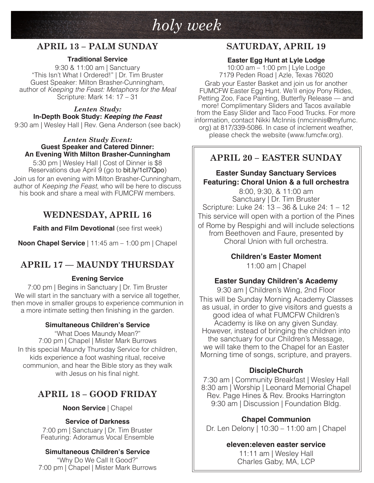## *holy week*

## **APRIL 13 – PALM SUNDAY**

#### **Traditional Service**

9:30 & 11:00 am | Sanctuary "This Isn't What I Ordered!" | Dr. Tim Bruster Guest Speaker: Milton Brasher-Cunningham, author of *Keeping the Feast: Metaphors for the Meal* Scripture: Mark 14: 17 – 31

*Lenten Study:*  **In-Depth Book Study:** *Keeping the Feast*

9:30 am | Wesley Hall | Rev. Gena Anderson (see back)

#### *Lenten Study Event:*  **Guest Speaker and Catered Dinner: An Evening With Milton Brasher-Cunningham**

5:30 pm | Wesley Hall | Cost of Dinner is \$8 Reservations due April 9 (go to bit.ly/1cl7Qpo) Join us for an evening with Milton Brasher-Cunningham, author of *Keeping the Feast*, who will be here to discuss his book and share a meal with FUMCFW members.

## **WEDNESDAY, APRIL 16**

**Faith and Film Devotional (see first week)** 

**Noon Chapel Service** | 11:45 am – 1:00 pm | Chapel

## **APRIL 17 — MAUNDY THURSDAY**

#### **Evening Service**

7:00 pm | Begins in Sanctuary | Dr. Tim Bruster We will start in the sanctuary with a service all together, then move in smaller groups to experience communion in a more intimate setting then finishing in the garden.

#### **Simultaneous Children's Service**

"What Does Maundy Mean?" 7:00 pm | Chapel | Mister Mark Burrows In this special Maundy Thursday Service for children, kids experience a foot washing ritual, receive communion, and hear the Bible story as they walk with Jesus on his final night.

## **APRIL 18 – GOOD FRIDAY**

#### **Noon Service** | Chapel

#### **Service of Darkness**

7:00 pm | Sanctuary | Dr. Tim Bruster Featuring: Adoramus Vocal Ensemble

#### **Simultaneous Children's Service**

"Why Do We Call It Good?" 7:00 pm | Chapel | Mister Mark Burrows

## **SATURDAY, APRIL 19**

#### **Easter Egg Hunt at Lyle Lodge**

10:00 am – 1:00 pm | Lyle Lodge 7179 Peden Road | Azle, Texas 76020

Grab your Easter Basket and join us for another FUMCFW Easter Egg Hunt. We'll enjoy Pony Rides, Petting Zoo, Face Painting, Butterfly Release — and more! Complimentary Sliders and Tacos available from the Easy Slider and Taco Food Trucks. For more information, contact Nikki McInnis (nmcinnis@myfumc. org) at 817/339-5086. In case of inclement weather, please check the website (www.fumcfw.org).

## **APRIL 20 – EASTER SUNDAY**

#### **Easter Sunday Sanctuary Services Featuring: Choral Union & a full orchestra**

8:00, 9:30, & 11:00 am Sanctuary | Dr. Tim Bruster Scripture: Luke 24: 13 – 36 & Luke 24: 1 – 12 This service will open with a portion of the Pines of Rome by Respighi and will include selections from Beethoven and Faure, presented by Choral Union with full orchestra.

> **Children's Easter Moment** 11:00 am | Chapel

#### **Easter Sunday Children's Academy**

9:30 am | Children's Wing, 2nd Floor This will be Sunday Morning Academy Classes as usual, in order to give visitors and guests a good idea of what FUMCFW Children's Academy is like on any given Sunday. However, instead of bringing the children into the sanctuary for our Children's Message, we will take them to the Chapel for an Easter Morning time of songs, scripture, and prayers.

#### **DiscipleChurch**

7:30 am | Community Breakfast | Wesley Hall 8:30 am | Worship | Leonard Memorial Chapel Rev. Page Hines & Rev. Brooks Harrington 9:30 am | Discussion | Foundation Bldg.

#### **Chapel Communion**

Dr. Len Delony | 10:30 – 11:00 am | Chapel

#### **eleven:eleven easter service**

11:11 am | Wesley Hall Charles Gaby, MA, LCP